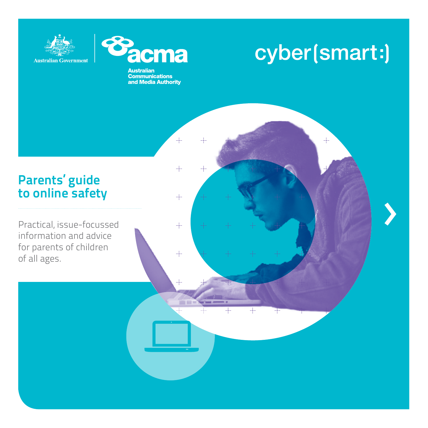



**Australian Communications**<br>and Media Authority

 $+$ 

 $+$ 

 $+$ 

 $+$ 

 $+$ 

### cyber(smart:)

 $+$ 

### Parents' guide to online safety

Practical, issue-focussed information and advice for parents of children of all ages.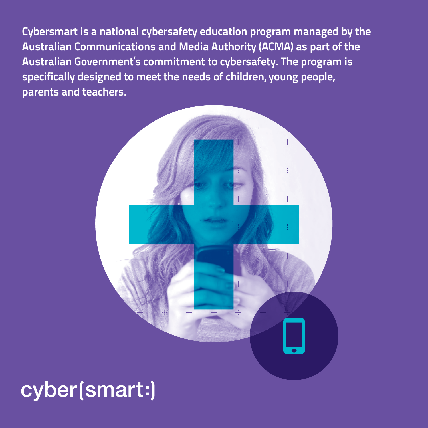Cybersmart is a national cybersafety education program managed by the Australian Communications and Media Authority (ACMA) as part of the Australian Government's commitment to cybersafety. The program is specifically designed to meet the needs of children, young people, parents and teachers.



### cyber(smart:)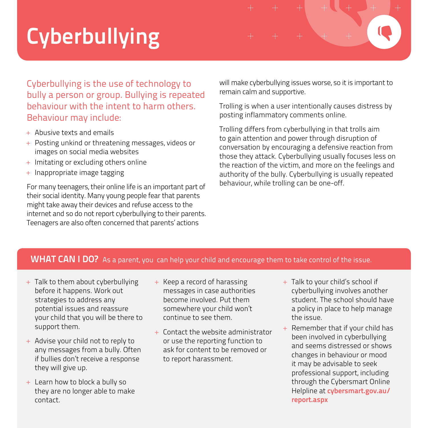# **Cyberbullying**



- + Abusive texts and emails
- + Posting unkind or threatening messages, videos or images on social media websites
- + Imitating or excluding others online
- + Inappropriate image tagging

For many teenagers, their online life is an important part of their social identity. Many young people fear that parents might take away their devices and refuse access to the internet and so do not report cyberbullying to their parents. Teenagers are also often concerned that parents' actions

will make cyberbullying issues worse, so it is important to remain calm and supportive.

Trolling is when a user intentionally causes distress by posting inflammatory comments online.

Trolling differs from cyberbullying in that trolls aim to gain attention and power through disruption of conversation by encouraging a defensive reaction from those they attack. Cyberbullying usually focuses less on the reaction of the victim, and more on the feelings and authority of the bully. Cyberbullying is usually repeated behaviour, while trolling can be one-off.

#### WHAT CAN I DO? As a parent, you can help your child and encourage them to take control of the issue.

- + Talk to them about cyberbullying before it happens. Work out strategies to address any potential issues and reassure your child that you will be there to support them.
- + Advise your child not to reply to any messages from a bully. Often if bullies don't receive a response they will give up.
- + Learn how to block a bully so they are no longer able to make contact.
- + Keep a record of harassing messages in case authorities become involved. Put them somewhere your child won't continue to see them.
- + Contact the website administrator or use the reporting function to ask for content to be removed or to report harassment.
- + Talk to your child's school if cyberbullying involves another student. The school should have a policy in place to help manage the issue.
- + Remember that if your child has been involved in cyberbullying and seems distressed or shows changes in behaviour or mood it may be advisable to seek professional support, including through the Cybersmart Online Helpline at cybersmart.gov.au/ report.aspx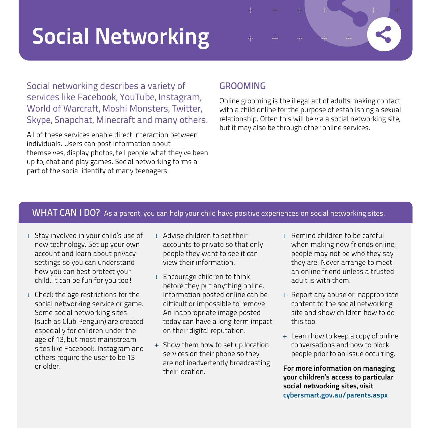# Social Networking

Social networking describes a variety of services like Facebook, YouTube, Instagram, World of Warcraft, Moshi Monsters, Twitter, Skype, Snapchat, Minecraft and many others.

All of these services enable direct interaction between individuals. Users can post information about themselves, display photos, tell people what they've been up to, chat and play games. Social networking forms a part of the social identity of many teenagers.

### **GROOMING**

Online grooming is the illegal act of adults making contact with a child online for the purpose of establishing a sexual relationship. Often this will be via a social networking site, but it may also be through other online services.

 $+$ 

#### WHAT CAN I DO? As a parent, you can help your child have positive experiences on social networking sites.

- + Stay involved in your child's use of new technology. Set up your own account and learn about privacy settings so you can understand how you can best protect your child. It can be fun for you too!
- + Check the age restrictions for the social networking service or game. Some social networking sites (such as Club Penguin) are created especially for children under the age of 13, but most mainstream sites like Facebook, Instagram and others require the user to be 13 or older.
- + Advise children to set their accounts to private so that only people they want to see it can view their information.
- + Encourage children to think before they put anything online. Information posted online can be difficult or impossible to remove. An inappropriate image posted today can have a long term impact on their digital reputation.
- + Show them how to set up location services on their phone so they are not inadvertently broadcasting their location.
- + Remind children to be careful when making new friends online; people may not be who they say they are. Never arrange to meet an online friend unless a trusted adult is with them.
- + Report any abuse or inappropriate content to the social networking site and show children how to do this too.
- + Learn how to keep a copy of online conversations and how to block people prior to an issue occurring.

For more information on managing your children's access to particular social networking sites, visit cybersmart.gov.au/parents.aspx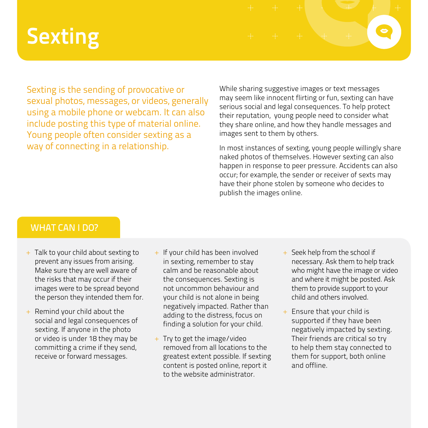# **Sexting**

Sexting is the sending of provocative or sexual photos, messages, or videos, generally using a mobile phone or webcam. It can also include posting this type of material online. Young people often consider sexting as a way of connecting in a relationship.

While sharing suggestive images or text messages may seem like innocent flirting or fun, sexting can have serious social and legal consequences. To help protect their reputation, young people need to consider what they share online, and how they handle messages and images sent to them by others.

In most instances of sexting, young people willingly share naked photos of themselves. However sexting can also happen in response to peer pressure. Accidents can also occur; for example, the sender or receiver of sexts may have their phone stolen by someone who decides to publish the images online.

#### WHAT CAN LDO?

- + Talk to your child about sexting to prevent any issues from arising. Make sure they are well aware of the risks that may occur if their images were to be spread beyond the person they intended them for.
- + Remind your child about the social and legal consequences of sexting. If anyone in the photo or video is under 18 they may be committing a crime if they send, receive or forward messages.
- + If your child has been involved in sexting, remember to stay calm and be reasonable about the consequences. Sexting is not uncommon behaviour and your child is not alone in being negatively impacted. Rather than adding to the distress, focus on finding a solution for your child.
- + Try to get the image/video removed from all locations to the greatest extent possible. If sexting content is posted online, report it to the website administrator.
- + Seek help from the school if necessary. Ask them to help track who might have the image or video and where it might be posted. Ask them to provide support to your child and others involved.
- + Ensure that your child is supported if they have been negatively impacted by sexting. Their friends are critical so try to help them stay connected to them for support, both online and offline.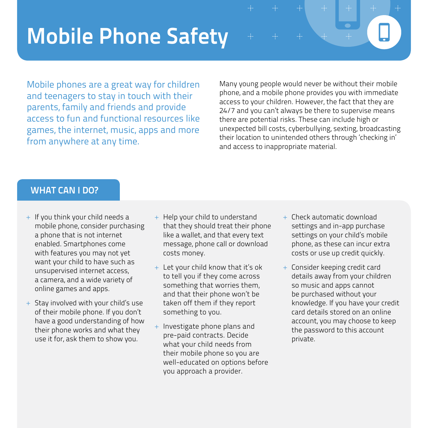### Mobile Phone Safety

Mobile phones are a great way for children and teenagers to stay in touch with their parents, family and friends and provide access to fun and functional resources like games, the internet, music, apps and more from anywhere at any time.

Many young people would never be without their mobile phone, and a mobile phone provides you with immediate access to your children. However, the fact that they are 24/7 and you can't always be there to supervise means there are potential risks. These can include high or unexpected bill costs, cyberbullying, sexting, broadcasting their location to unintended others through 'checking in' and access to inappropriate material.

### WHAT CAN I DO?

- + If you think your child needs a mobile phone, consider purchasing a phone that is not internet enabled. Smartphones come with features you may not yet want your child to have such as unsupervised internet access, a camera, and a wide variety of online games and apps.
- + Stay involved with your child's use of their mobile phone. If you don't have a good understanding of how their phone works and what they use it for, ask them to show you.
- + Help your child to understand that they should treat their phone like a wallet, and that every text message, phone call or download costs money.
- + Let your child know that it's ok to tell you if they come across something that worries them, and that their phone won't be taken off them if they report something to you.
- Investigate phone plans and pre-paid contracts. Decide what your child needs from their mobile phone so you are well-educated on options before you approach a provider.
- + Check automatic download settings and in-app purchase settings on your child's mobile phone, as these can incur extra costs or use up credit quickly.
- + Consider keeping credit card details away from your children so music and apps cannot be purchased without your knowledge. If you have your credit card details stored on an online account, you may choose to keep the password to this account private.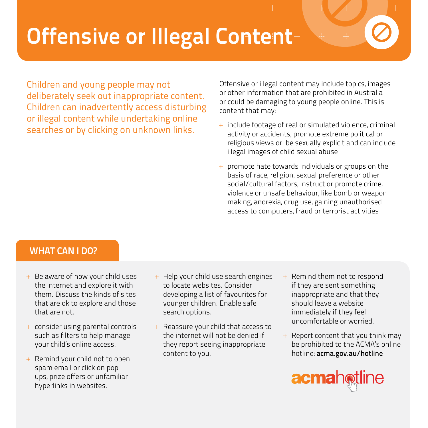# Offensive or Illegal Content

Children and young people may not deliberately seek out inappropriate content. Children can inadvertently access disturbing or illegal content while undertaking online searches or by clicking on unknown links.

Offensive or illegal content may include topics, images or other information that are prohibited in Australia or could be damaging to young people online. This is content that may:

- + include footage of real or simulated violence, criminal activity or accidents, promote extreme political or religious views or be sexually explicit and can include illegal images of child sexual abuse
- + promote hate towards individuals or groups on the basis of race, religion, sexual preference or other social/cultural factors, instruct or promote crime, violence or unsafe behaviour, like bomb or weapon making, anorexia, drug use, gaining unauthorised access to computers, fraud or terrorist activities

### WHAT CAN I DO?

- + Be aware of how your child uses the internet and explore it with them. Discuss the kinds of sites that are ok to explore and those that are not.
- + consider using parental controls such as filters to help manage your child's online access.
- + Remind your child not to open spam email or click on pop ups, prize offers or unfamiliar hyperlinks in websites.
- + Help your child use search engines to locate websites. Consider developing a list of favourites for younger children. Enable safe search options.
- + Reassure your child that access to the internet will not be denied if they report seeing inappropriate content to you.
- + Remind them not to respond if they are sent something inappropriate and that they should leave a website immediately if they feel uncomfortable or worried.
- $+$  Report content that you think may be prohibited to the ACMA's online hotline: acma.gov.au/hotline

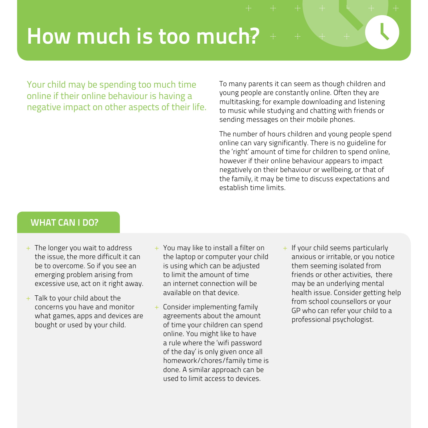### How much is too much?

Your child may be spending too much time online if their online behaviour is having a negative impact on other aspects of their life. To many parents it can seem as though children and young people are constantly online. Often they are multitasking; for example downloading and listening to music while studying and chatting with friends or sending messages on their mobile phones.

The number of hours children and young people spend online can vary significantly. There is no guideline for the 'right' amount of time for children to spend online, however if their online behaviour appears to impact negatively on their behaviour or wellbeing, or that of the family, it may be time to discuss expectations and establish time limits.

### WHAT CAN I DO?

- + The longer you wait to address the issue, the more difficult it can be to overcome. So if you see an emerging problem arising from excessive use, act on it right away.
- + Talk to your child about the concerns you have and monitor what games, apps and devices are bought or used by your child.
- + You may like to install a filter on the laptop or computer your child is using which can be adjusted to limit the amount of time an internet connection will be available on that device.
- Consider implementing family agreements about the amount of time your children can spend online. You might like to have a rule where the 'wifi password of the day' is only given once all homework/chores/family time is done. A similar approach can be used to limit access to devices.
- + If your child seems particularly anxious or irritable, or you notice them seeming isolated from friends or other activities, there may be an underlying mental health issue. Consider getting help from school counsellors or your GP who can refer your child to a professional psychologist.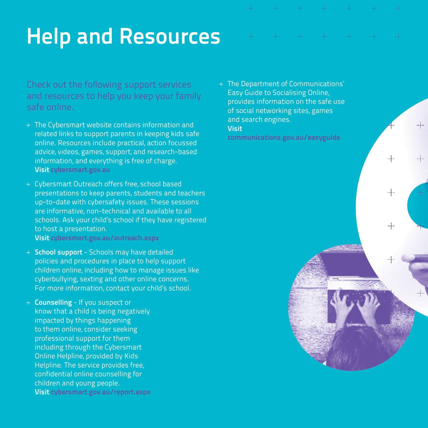$+$ 

# Help and Resources

Check out the following support services and resources to help you keep your family safe online.

- + The Cybersmart website contains information and related links to support parents in keeping kids safe online. Resources include practical, action focussed advice, videos, games, support, and research-based information, and everything is free of charge. Visit cybersmart.gov.au
- + Cybersmart Outreach offers free, school based presentations to keep parents, students and teachers up-to-date with cybersafety issues. These sessions are informative, non-technical and available to all schools. Ask your child's school if they have registered to host a presentation.

Visit cybersmart.gov.au/outreach.aspx

- + School support Schools may have detailed policies and procedures in place to help support children online, including how to manage issues like cyberbullying, sexting and other online concerns. For more information, contact your child's school.
- + Counselling If you suspect or know that a child is being negatively impacted by things happening to them online, consider seeking professional support for them including through the Cybersmart Online Helpline, provided by Kids Helpline. The service provides free, confidential online counselling for children and young people. Visit cybersmart.gov.au/report.aspx

+ The Department of Communications' Easy Guide to Socialising Online, provides information on the safe use of social networking sites, games and search engines. Visit

communications.gov.au/easyguide